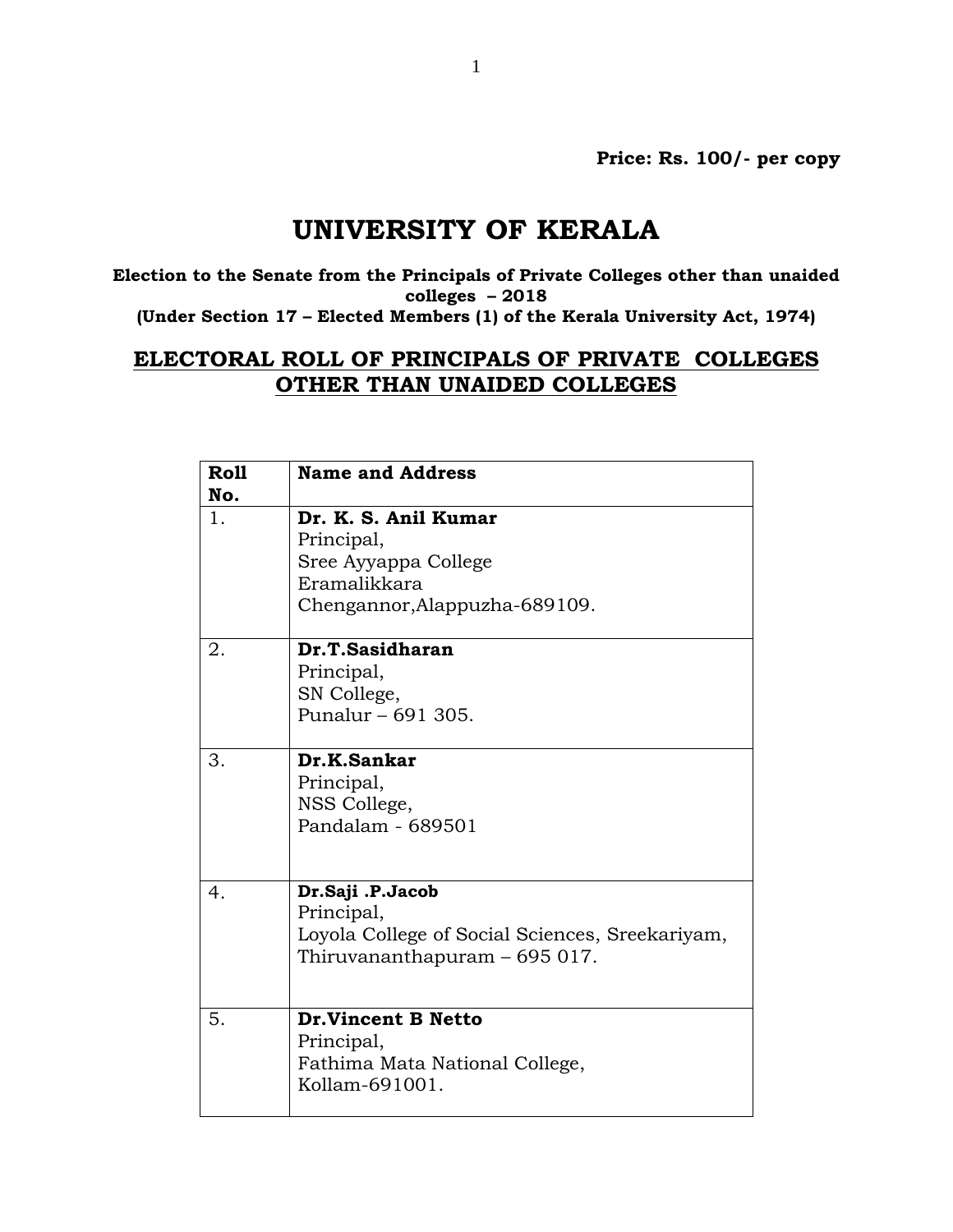**Price: Rs. 100/- per copy**

## **UNIVERSITY OF KERALA**

**Election to the Senate from the Principals of Private Colleges other than unaided colleges – 2018 (Under Section 17 – Elected Members (1) of the Kerala University Act, 1974)**

## **ELECTORAL ROLL OF PRINCIPALS OF PRIVATE COLLEGES OTHER THAN UNAIDED COLLEGES**

| Roll<br>No. | <b>Name and Address</b>                                                                                            |
|-------------|--------------------------------------------------------------------------------------------------------------------|
| 1.          | Dr. K. S. Anil Kumar<br>Principal,<br>Sree Ayyappa College<br>Eramalikkara<br>Chengannor, Alappuzha-689109.        |
| 2.          | Dr.T.Sasidharan<br>Principal,<br>SN College,<br>Punalur - 691 305.                                                 |
| 3.          | Dr.K.Sankar<br>Principal,<br>NSS College,<br>Pandalam - 689501                                                     |
| 4.          | Dr.Saji .P.Jacob<br>Principal,<br>Loyola College of Social Sciences, Sreekariyam,<br>Thiruvananthapuram - 695 017. |
| 5.          | <b>Dr.Vincent B Netto</b><br>Principal,<br>Fathima Mata National College,<br>Kollam-691001.                        |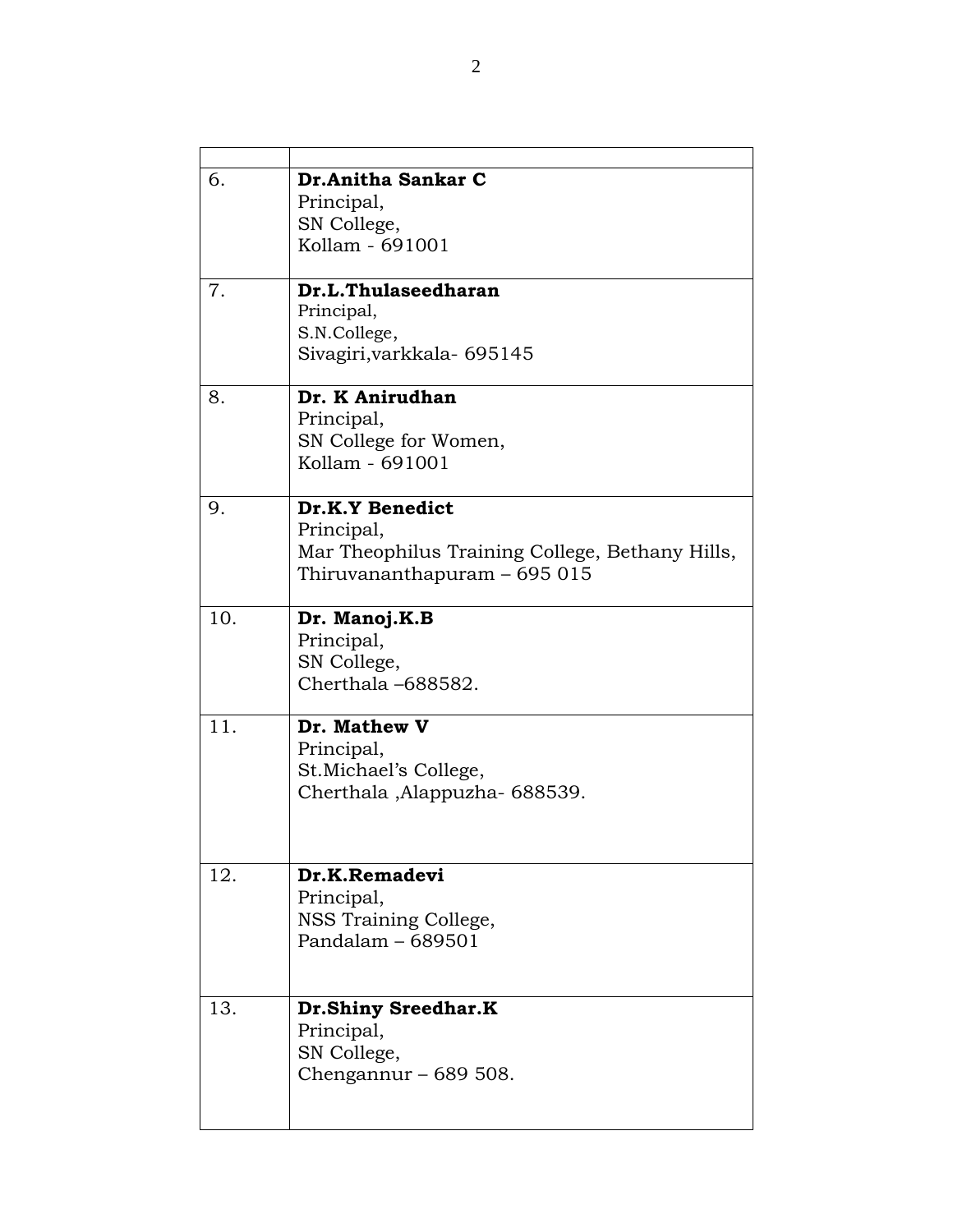| 6.  | Dr.Anitha Sankar C<br>Principal,<br>SN College,<br>Kollam - 691001                                               |
|-----|------------------------------------------------------------------------------------------------------------------|
| 7.  | Dr.L.Thulaseedharan<br>Principal,<br>S.N.College,<br>Sivagiri, varkkala- 695145                                  |
| 8.  | Dr. K Anirudhan<br>Principal,<br>SN College for Women,<br>Kollam - 691001                                        |
| 9.  | Dr.K.Y Benedict<br>Principal,<br>Mar Theophilus Training College, Bethany Hills,<br>Thiruvananthapuram - 695 015 |
| 10. | Dr. Manoj.K.B<br>Principal,<br>SN College,<br>Cherthala-688582.                                                  |
| 11. | Dr. Mathew V<br>Principal,<br>St.Michael's College,<br>Cherthala, Alappuzha- 688539.                             |
| 12. | Dr.K.Remadevi<br>Principal,<br>NSS Training College,<br>Pandalam $-689501$                                       |
| 13. | <b>Dr.Shiny Sreedhar.K</b><br>Principal,<br>SN College,<br>Chengannur – $689508$ .                               |